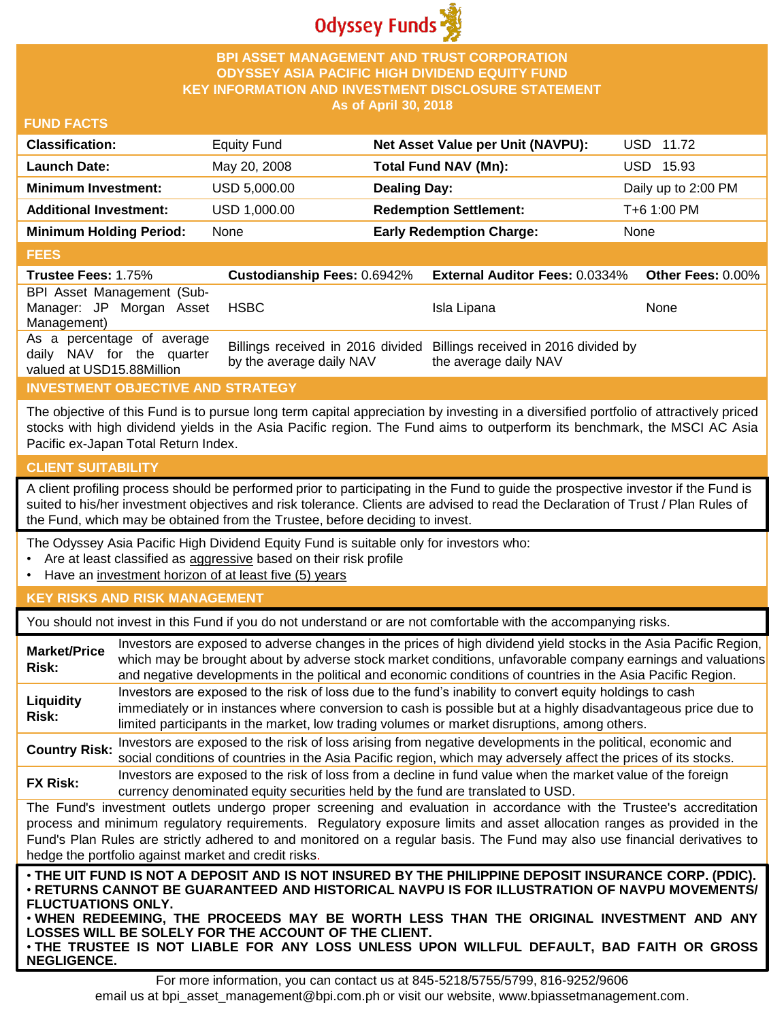

## **BPI ASSET MANAGEMENT AND TRUST CORPORATION ODYSSEY ASIA PACIFIC HIGH DIVIDEND EQUITY FUND KEY INFORMATION AND INVESTMENT DISCLOSURE STATEMENT As of April 30, 2018**

## **FUND FACTS**

| <b>Classification:</b>         | <b>Equity Fund</b> | Net Asset Value per Unit (NAVPU): | USD 11.72           |
|--------------------------------|--------------------|-----------------------------------|---------------------|
| <b>Launch Date:</b>            | May 20, 2008       | <b>Total Fund NAV (Mn):</b>       | USD 15.93           |
| <b>Minimum Investment:</b>     | USD 5,000.00       | <b>Dealing Day:</b>               | Daily up to 2:00 PM |
| <b>Additional Investment:</b>  | USD 1,000.00       | <b>Redemption Settlement:</b>     | T+6 1:00 PM         |
| <b>Minimum Holding Period:</b> | None               | <b>Early Redemption Charge:</b>   | None                |

#### **FEES**

| -----                                                   |                          |                                                                                                 |                   |
|---------------------------------------------------------|--------------------------|-------------------------------------------------------------------------------------------------|-------------------|
| <b>Trustee Fees: 1.75%</b>                              |                          | Custodianship Fees: 0.6942% External Auditor Fees: 0.0334%                                      | Other Fees: 0.00% |
| BPI Asset Management (Sub-                              |                          |                                                                                                 |                   |
| Manager: JP Morgan Asset                                | HSBC                     | Isla Lipana                                                                                     | <b>None</b>       |
| Management)                                             |                          |                                                                                                 |                   |
| As a percentage of average<br>daily NAV for the quarter | by the average daily NAV | Billings received in 2016 divided Billings received in 2016 divided by<br>the average daily NAV |                   |
| valued at USD15.88Million                               |                          |                                                                                                 |                   |

# **INVESTMENT OBJECTIVE AND STRATEGY**

The objective of this Fund is to pursue long term capital appreciation by investing in a diversified portfolio of attractively priced stocks with high dividend yields in the Asia Pacific region. The Fund aims to outperform its benchmark, the MSCI AC Asia Pacific ex-Japan Total Return Index.

# **CLIENT SUITABILITY**

**NEGLIGENCE.**

A client profiling process should be performed prior to participating in the Fund to guide the prospective investor if the Fund is suited to his/her investment objectives and risk tolerance. Clients are advised to read the Declaration of Trust / Plan Rules of the Fund, which may be obtained from the Trustee, before deciding to invest.

The Odyssey Asia Pacific High Dividend Equity Fund is suitable only for investors who:

- Are at least classified as aggressive based on their risk profile
- Have an investment horizon of at least five (5) years

# **KEY RISKS AND RISK MANAGEMENT**

You should not invest in this Fund if you do not understand or are not comfortable with the accompanying risks.

| <b>Market/Price</b><br>Risk:                                                                                                                                                                                                                                                                                                                                                                                                         | Investors are exposed to adverse changes in the prices of high dividend yield stocks in the Asia Pacific Region,<br>which may be brought about by adverse stock market conditions, unfavorable company earnings and valuations<br>and negative developments in the political and economic conditions of countries in the Asia Pacific Region.                                                                                                   |  |  |
|--------------------------------------------------------------------------------------------------------------------------------------------------------------------------------------------------------------------------------------------------------------------------------------------------------------------------------------------------------------------------------------------------------------------------------------|-------------------------------------------------------------------------------------------------------------------------------------------------------------------------------------------------------------------------------------------------------------------------------------------------------------------------------------------------------------------------------------------------------------------------------------------------|--|--|
| Liquidity<br>Risk:                                                                                                                                                                                                                                                                                                                                                                                                                   | Investors are exposed to the risk of loss due to the fund's inability to convert equity holdings to cash<br>immediately or in instances where conversion to cash is possible but at a highly disadvantageous price due to<br>limited participants in the market, low trading volumes or market disruptions, among others.                                                                                                                       |  |  |
| <b>Country Risk:</b>                                                                                                                                                                                                                                                                                                                                                                                                                 | Investors are exposed to the risk of loss arising from negative developments in the political, economic and<br>social conditions of countries in the Asia Pacific region, which may adversely affect the prices of its stocks.                                                                                                                                                                                                                  |  |  |
| <b>FX Risk:</b>                                                                                                                                                                                                                                                                                                                                                                                                                      | Investors are exposed to the risk of loss from a decline in fund value when the market value of the foreign<br>currency denominated equity securities held by the fund are translated to USD.                                                                                                                                                                                                                                                   |  |  |
| The Fund's investment outlets undergo proper screening and evaluation in accordance with the Trustee's accreditation<br>process and minimum regulatory requirements. Regulatory exposure limits and asset allocation ranges as provided in the<br>Fund's Plan Rules are strictly adhered to and monitored on a regular basis. The Fund may also use financial derivatives to<br>hedge the portfolio against market and credit risks. |                                                                                                                                                                                                                                                                                                                                                                                                                                                 |  |  |
| <b>FLUCTUATIONS ONLY.</b>                                                                                                                                                                                                                                                                                                                                                                                                            | . THE UIT FUND IS NOT A DEPOSIT AND IS NOT INSURED BY THE PHILIPPINE DEPOSIT INSURANCE CORP. (PDIC).<br>⋅RETURNS CANNOT BE GUARANTEED AND HISTORICAL NAVPU IS FOR ILLUSTRATION OF NAVPU MOVEMENTS/<br>. WHEN REDEEMING, THE PROCEEDS MAY BE WORTH LESS THAN THE ORIGINAL INVESTMENT AND ANY<br>LOSSES WILL BE SOLELY FOR THE ACCOUNT OF THE CLIENT.<br>. THE TRUSTEE IS NOT LIABLE FOR ANY LOSS UNLESS UPON WILLFUL DEFAULT, BAD FAITH OR GROSS |  |  |

For more information, you can contact us at 845-5218/5755/5799, 816-9252/9606 email us at bpi\_asset\_management@bpi.com.ph or visit our website, www.bpiassetmanagement.com.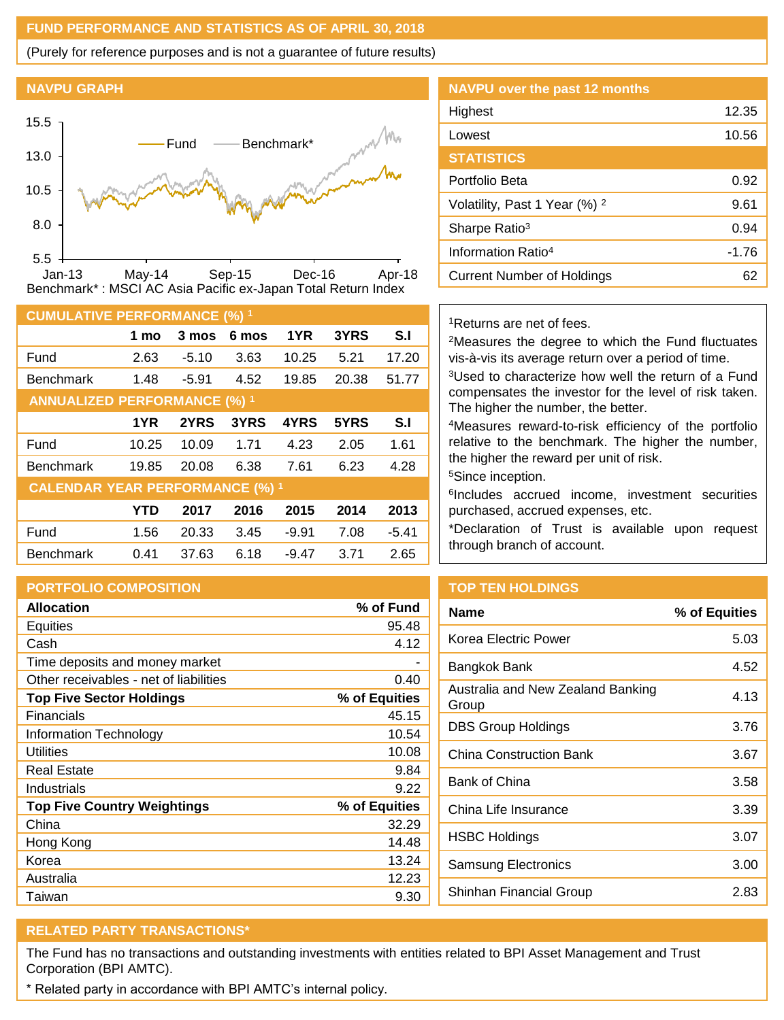## **FUND PERFORMANCE AND STATISTICS AS OF APRIL 30, 2018**

(Purely for reference purposes and is not a guarantee of future results)

#### **NAVPU GRAPH**



Benchmark\* : MSCI AC Asia Pacific ex-Japan Total Return Index

| <b>CUMULATIVE PERFORMANCE (%) 1</b>    |            |         |       |         |       |         |
|----------------------------------------|------------|---------|-------|---------|-------|---------|
|                                        | 1 mo       | 3 mos   | 6 mos | 1YR     | 3YRS  | S.I     |
| Fund                                   | 2.63       | $-5.10$ | 3.63  | 10.25   | 5.21  | 17.20   |
| <b>Benchmark</b>                       | 1.48       | $-5.91$ | 4.52  | 19.85   | 20.38 | 51.77   |
| <b>ANNUALIZED PERFORMANCE (%) 1</b>    |            |         |       |         |       |         |
|                                        | 1YR        | 2YRS    | 3YRS  | 4YRS    | 5YRS  | S.I     |
| Fund                                   | 10.25      | 10.09   | 1.71  | 4.23    | 2.05  | 1.61    |
| <b>Benchmark</b>                       | 19.85      | 20.08   | 6.38  | 7.61    | 6.23  | 4.28    |
| <b>CALENDAR YEAR PERFORMANCE (%) 1</b> |            |         |       |         |       |         |
|                                        | <b>YTD</b> | 2017    | 2016  | 2015    | 2014  | 2013    |
| Fund                                   | 1.56       | 20.33   | 3.45  | $-9.91$ | 7.08  | $-5.41$ |
| <b>Benchmark</b>                       | 0.41       | 37.63   | 6.18  | $-9.47$ | 3.71  | 2.65    |

## **PORTFOLIO COMPOSITION**

| <b>Allocation</b>                      | % of Fund     |
|----------------------------------------|---------------|
| Equities                               | 95.48         |
| Cash                                   | 4.12          |
| Time deposits and money market         |               |
| Other receivables - net of liabilities | 0.40          |
| <b>Top Five Sector Holdings</b>        | % of Equities |
| Financials                             | 45.15         |
| Information Technology                 | 10.54         |
| Utilities                              | 10.08         |
| <b>Real Estate</b>                     | 9.84          |
| Industrials                            | 9.22          |
| <b>Top Five Country Weightings</b>     | % of Equities |
| China                                  | 32.29         |
| Hong Kong                              | 14.48         |
| Korea                                  | 13.24         |
| Australia                              | 12.23         |
| Taiwan                                 | 9.30          |

| <b>NAVPU over the past 12 months</b>     |         |
|------------------------------------------|---------|
| Highest                                  | 12.35   |
| Lowest                                   | 10.56   |
| <b>STATISTICS</b>                        |         |
| Portfolio Beta                           | 0.92    |
| Volatility, Past 1 Year (%) <sup>2</sup> | 9.61    |
| Sharpe Ratio <sup>3</sup>                | 0.94    |
| Information Ratio <sup>4</sup>           | $-1.76$ |
| <b>Current Number of Holdings</b>        | 62      |

## <sup>1</sup>Returns are net of fees.

<sup>2</sup>Measures the degree to which the Fund fluctuates vis-à-vis its average return over a period of time.

<sup>3</sup>Used to characterize how well the return of a Fund compensates the investor for the level of risk taken. The higher the number, the better.

<sup>4</sup>Measures reward-to-risk efficiency of the portfolio relative to the benchmark. The higher the number, the higher the reward per unit of risk.

<sup>5</sup>Since inception.

6 Includes accrued income, investment securities purchased, accrued expenses, etc.

\*Declaration of Trust is available upon request through branch of account.

## **TOP TEN HOLDINGS**

| Name                                       | % of Equities |
|--------------------------------------------|---------------|
| Korea Electric Power                       | 5.03          |
| Bangkok Bank                               | 4.52          |
| Australia and New Zealand Banking<br>Group | 4.13          |
| DBS Group Holdings                         | 3.76          |
| China Construction Bank                    | 3.67          |
| Bank of China                              | 3.58          |
| China Life Insurance                       | 3.39          |
| <b>HSBC Holdings</b>                       | 3.07          |
| Samsung Electronics                        | 3.00          |
| Shinhan Financial Group                    | 2.83          |

# **RELATED PARTY TRANSACTIONS\***

The Fund has no transactions and outstanding investments with entities related to BPI Asset Management and Trust Corporation (BPI AMTC).

\* Related party in accordance with BPI AMTC's internal policy.